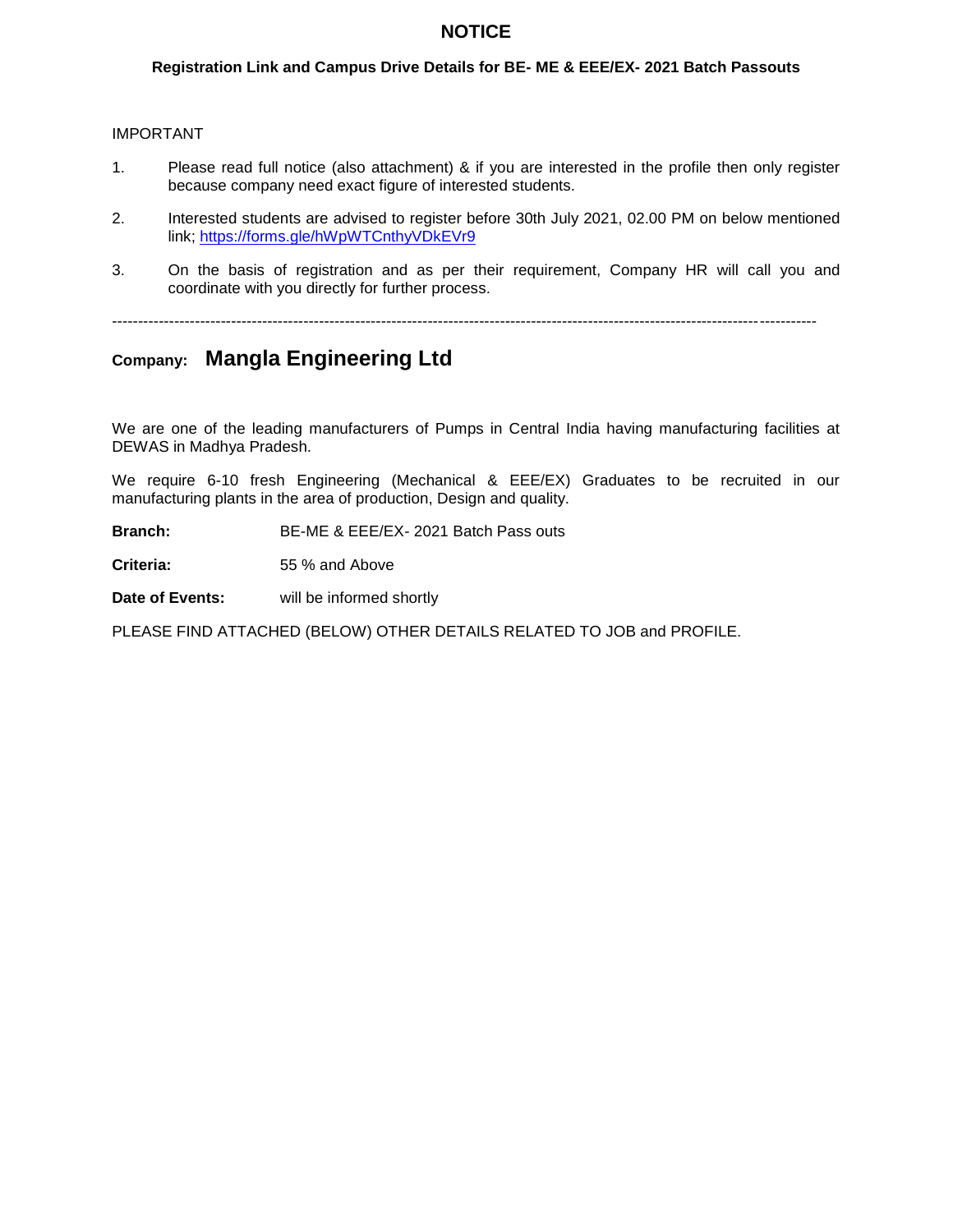### **NOTICE**

### **Registration Link and Campus Drive Details for BE- ME & EEE/EX- 2021 Batch Passouts**

#### IMPORTANT

- 1. Please read full notice (also attachment) & if you are interested in the profile then only register because company need exact figure of interested students.
- 2. Interested students are advised to register before 30th July 2021, 02.00 PM on below mentioned link; https://forms.gle/hWpWTCnthyVDkEVr9
- 3. On the basis of registration and as per their requirement, Company HR will call you and coordinate with you directly for further process.

----------------------------------------------------------------------------------------------------------------------------------------

# **Company: Mangla Engineering Ltd**

We are one of the leading manufacturers of Pumps in Central India having manufacturing facilities at DEWAS in Madhya Pradesh.

We require 6-10 fresh Engineering (Mechanical & EEE/EX) Graduates to be recruited in our manufacturing plants in the area of production, Design and quality.

**Branch:** BE-ME & EEE/EX- 2021 Batch Pass outs

**Criteria:** 55 % and Above

**Date of Events:** will be informed shortly

PLEASE FIND ATTACHED (BELOW) OTHER DETAILS RELATED TO JOB and PROFILE.